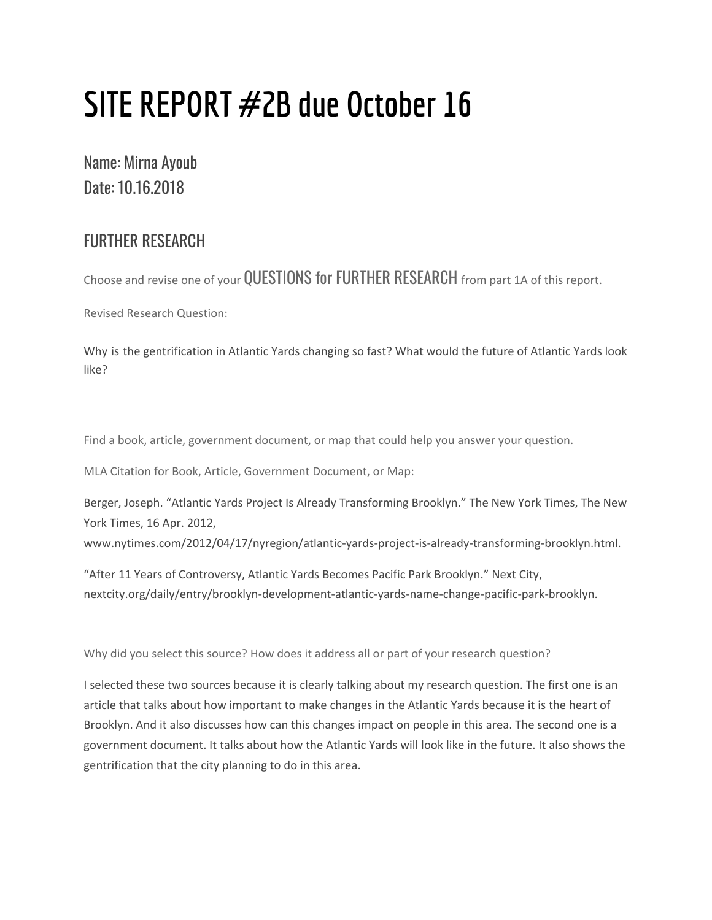## **SITE REPORT #2B due October 16**

## Name: Mirna Ayoub Date: 10.16.2018

## FURTHER RESEARCH

Choose and revise one of your QUESTIONS for FURTHER RESEARCH from part 1A of this report.

Revised Research Question:

Why is the gentrification in Atlantic Yards changing so fast? What would the future of Atlantic Yards look like?

Find a book, article, government document, or map that could help you answer your question.

MLA Citation for Book, Article, Government Document, or Map:

Berger, Joseph. "Atlantic Yards Project Is Already Transforming Brooklyn." The New York Times, The New York Times, 16 Apr. 2012,

www.nytimes.com/2012/04/17/nyregion/atlantic-yards-project-is-already-transforming-brooklyn.html.

"After 11 Years of Controversy, Atlantic Yards Becomes Pacific Park Brooklyn." Next City, nextcity.org/daily/entry/brooklyn-development-atlantic-yards-name-change-pacific-park-brooklyn.

Why did you select this source? How does it address all or part of your research question?

I selected these two sources because it is clearly talking about my research question. The first one is an article that talks about how important to make changes in the Atlantic Yards because it is the heart of Brooklyn. And it also discusses how can this changes impact on people in this area. The second one is a government document. It talks about how the Atlantic Yards will look like in the future. It also shows the gentrification that the city planning to do in this area.